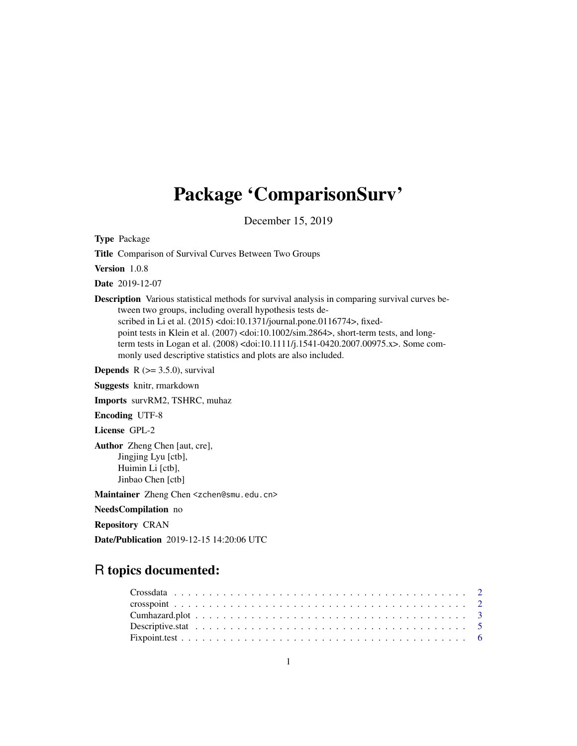## Package 'ComparisonSurv'

December 15, 2019

Type Package

Title Comparison of Survival Curves Between Two Groups

Version 1.0.8

Date 2019-12-07

Description Various statistical methods for survival analysis in comparing survival curves between two groups, including overall hypothesis tests described in Li et al. (2015) <doi:10.1371/journal.pone.0116774>, fixedpoint tests in Klein et al. (2007) <doi:10.1002/sim.2864>, short-term tests, and longterm tests in Logan et al. (2008) <doi:10.1111/j.1541-0420.2007.00975.x>. Some commonly used descriptive statistics and plots are also included.

**Depends**  $R$  ( $>= 3.5.0$ ), survival

Suggests knitr, rmarkdown

Imports survRM2, TSHRC, muhaz

Encoding UTF-8

License GPL-2

Author Zheng Chen [aut, cre], Jingjing Lyu [ctb], Huimin Li [ctb], Jinbao Chen [ctb]

Maintainer Zheng Chen <zchen@smu.edu.cn>

NeedsCompilation no

Repository CRAN

Date/Publication 2019-12-15 14:20:06 UTC

## R topics documented: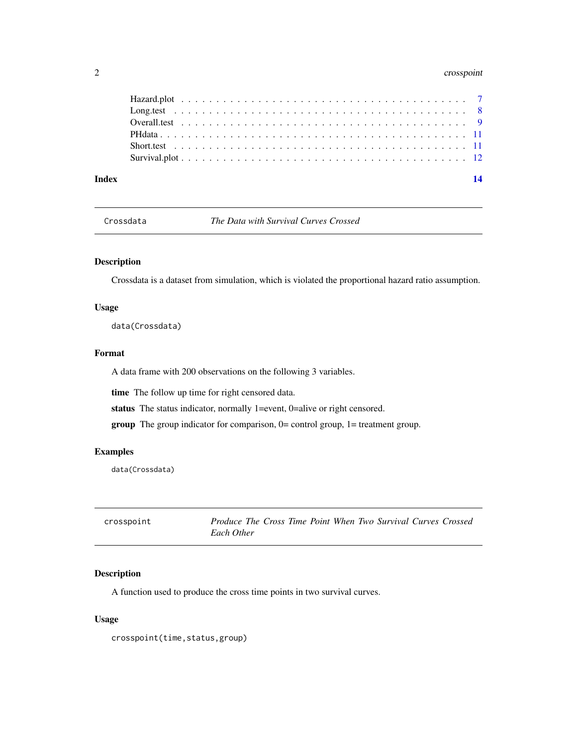## <span id="page-1-0"></span>2 crosspoint

| Index |  |  | 14 |
|-------|--|--|----|
|       |  |  |    |
|       |  |  |    |
|       |  |  |    |
|       |  |  |    |
|       |  |  |    |
|       |  |  |    |
|       |  |  |    |

Crossdata *The Data with Survival Curves Crossed*

## Description

Crossdata is a dataset from simulation, which is violated the proportional hazard ratio assumption.

## Usage

data(Crossdata)

#### Format

A data frame with 200 observations on the following 3 variables.

time The follow up time for right censored data.

status The status indicator, normally 1=event, 0=alive or right censored.

group The group indicator for comparison, 0= control group, 1= treatment group.

#### Examples

data(Crossdata)

<span id="page-1-1"></span>

| crosspoint | Produce The Cross Time Point When Two Survival Curves Crossed |  |  |  |  |
|------------|---------------------------------------------------------------|--|--|--|--|
|            | Each Other                                                    |  |  |  |  |

## Description

A function used to produce the cross time points in two survival curves.

#### Usage

crosspoint(time,status,group)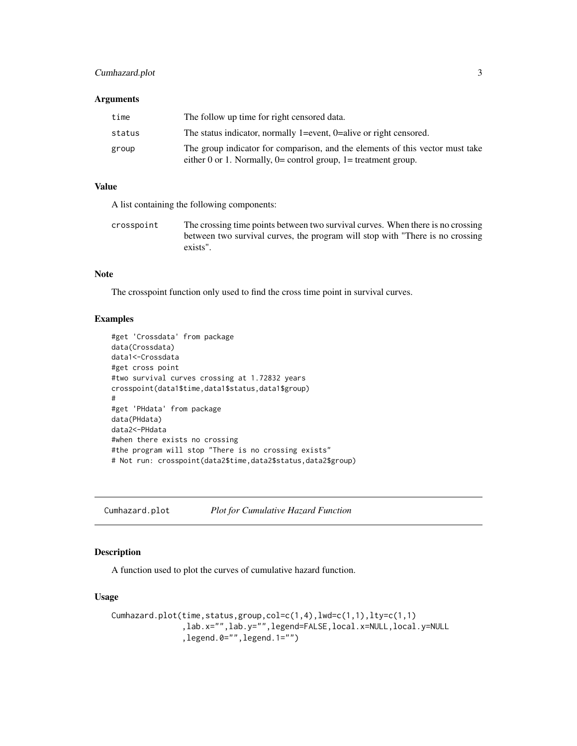## <span id="page-2-0"></span>Cumhazard.plot 3

#### **Arguments**

| time   | The follow up time for right censored data.                                   |
|--------|-------------------------------------------------------------------------------|
| status | The status indicator, normally 1=event, 0=alive or right censored.            |
| group  | The group indicator for comparison, and the elements of this vector must take |
|        | either 0 or 1. Normally, $0=$ control group, $1=$ treatment group.            |

#### Value

A list containing the following components:

crosspoint The crossing time points between two survival curves. When there is no crossing between two survival curves, the program will stop with "There is no crossing exists".

## Note

The crosspoint function only used to find the cross time point in survival curves.

#### Examples

```
#get 'Crossdata' from package
data(Crossdata)
data1<-Crossdata
#get cross point
#two survival curves crossing at 1.72832 years
crosspoint(data1$time,data1$status,data1$group)
#
#get 'PHdata' from package
data(PHdata)
data2<-PHdata
#when there exists no crossing
#the program will stop "There is no crossing exists"
# Not run: crosspoint(data2$time,data2$status,data2$group)
```
<span id="page-2-1"></span>Cumhazard.plot *Plot for Cumulative Hazard Function*

#### Description

A function used to plot the curves of cumulative hazard function.

#### Usage

```
Cumhazard.plot(time,status,group,col=c(1,4),lwd=c(1,1),lty=c(1,1)
               ,lab.x="",lab.y="",legend=FALSE,local.x=NULL,local.y=NULL
               ,legend.0="",legend.1="")
```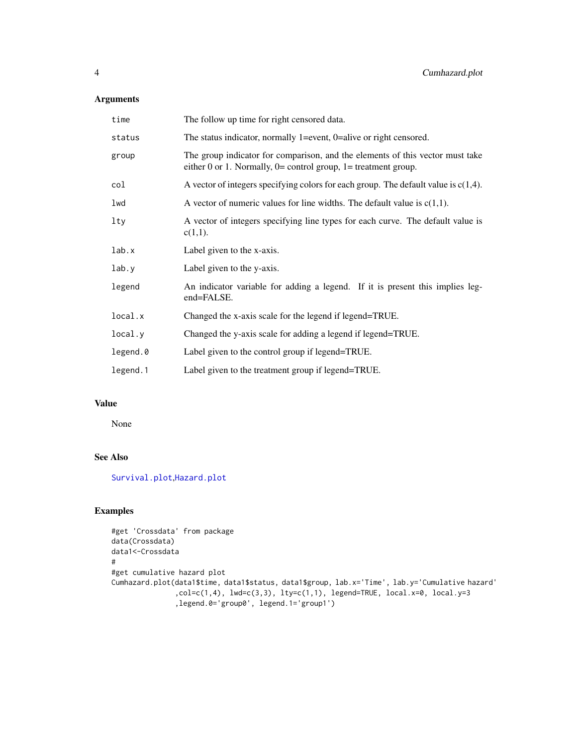## <span id="page-3-0"></span>Arguments

| time     | The follow up time for right censored data.                                                                                                         |
|----------|-----------------------------------------------------------------------------------------------------------------------------------------------------|
| status   | The status indicator, normally 1=event, $0$ =alive or right censored.                                                                               |
| group    | The group indicator for comparison, and the elements of this vector must take<br>either 0 or 1. Normally, $0=$ control group, $1=$ treatment group. |
| col      | A vector of integers specifying colors for each group. The default value is $c(1,4)$ .                                                              |
| lwd      | A vector of numeric values for line widths. The default value is $c(1,1)$ .                                                                         |
| lty      | A vector of integers specifying line types for each curve. The default value is<br>$c(1,1)$ .                                                       |
| lab.x    | Label given to the x-axis.                                                                                                                          |
| lab.y    | Label given to the y-axis.                                                                                                                          |
| legend   | An indicator variable for adding a legend. If it is present this implies leg-<br>end=FALSE.                                                         |
| local.x  | Changed the x-axis scale for the legend if legend=TRUE.                                                                                             |
| local.y  | Changed the y-axis scale for adding a legend if legend=TRUE.                                                                                        |
| legend.0 | Label given to the control group if legend=TRUE.                                                                                                    |
| legend.1 | Label given to the treatment group if legend=TRUE.                                                                                                  |

#### Value

None

## See Also

[Survival.plot](#page-11-1),[Hazard.plot](#page-6-1)

```
#get 'Crossdata' from package
data(Crossdata)
data1<-Crossdata
#
#get cumulative hazard plot
Cumhazard.plot(data1$time, data1$status, data1$group, lab.x='Time', lab.y='Cumulative hazard'
               ,col=c(1,4), lwd=c(3,3), lty=c(1,1), legend=TRUE, local.x=0, local.y=3
               ,legend.0='group0', legend.1='group1')
```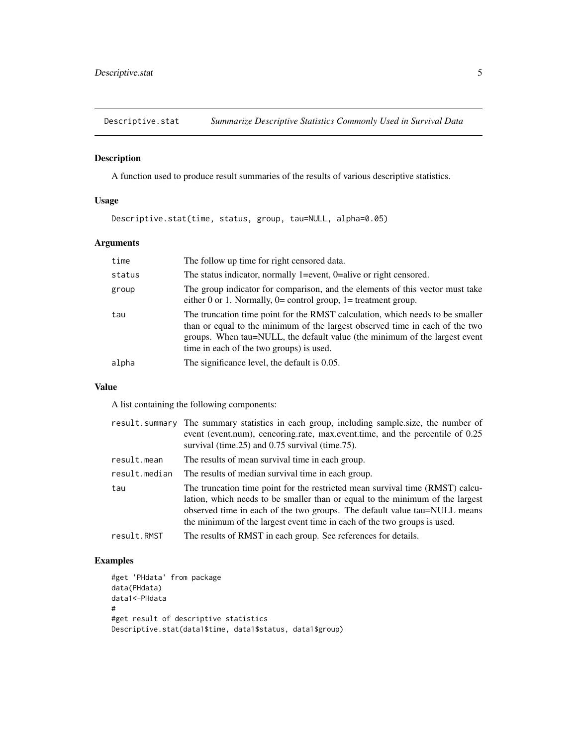<span id="page-4-0"></span>Descriptive.stat *Summarize Descriptive Statistics Commonly Used in Survival Data*

#### Description

A function used to produce result summaries of the results of various descriptive statistics.

#### Usage

Descriptive.stat(time, status, group, tau=NULL, alpha=0.05)

## Arguments

| time   | The follow up time for right censored data.                                                                                                                                                                                                                                             |
|--------|-----------------------------------------------------------------------------------------------------------------------------------------------------------------------------------------------------------------------------------------------------------------------------------------|
| status | The status indicator, normally 1=event, $0$ =alive or right censored.                                                                                                                                                                                                                   |
| group  | The group indicator for comparison, and the elements of this vector must take<br>either 0 or 1. Normally, $0=$ control group, $1=$ treatment group.                                                                                                                                     |
| tau    | The truncation time point for the RMST calculation, which needs to be smaller<br>than or equal to the minimum of the largest observed time in each of the two<br>groups. When tau=NULL, the default value (the minimum of the largest event<br>time in each of the two groups) is used. |
| alpha  | The significance level, the default is 0.05.                                                                                                                                                                                                                                            |

## Value

A list containing the following components:

|               | result.summary The summary statistics in each group, including sample.size, the number of<br>event (event.num), cencoring.rate, max.event.time, and the percentile of 0.25<br>survival (time. $25$ ) and 0.75 survival (time. $75$ ).                                                                                   |
|---------------|-------------------------------------------------------------------------------------------------------------------------------------------------------------------------------------------------------------------------------------------------------------------------------------------------------------------------|
| result.mean   | The results of mean survival time in each group.                                                                                                                                                                                                                                                                        |
| result.median | The results of median survival time in each group.                                                                                                                                                                                                                                                                      |
| tau           | The truncation time point for the restricted mean survival time (RMST) calcu-<br>lation, which needs to be smaller than or equal to the minimum of the largest<br>observed time in each of the two groups. The default value tau=NULL means<br>the minimum of the largest event time in each of the two groups is used. |
| result.RMST   | The results of RMST in each group. See references for details.                                                                                                                                                                                                                                                          |

```
#get 'PHdata' from package
data(PHdata)
data1<-PHdata
#
#get result of descriptive statistics
Descriptive.stat(data1$time, data1$status, data1$group)
```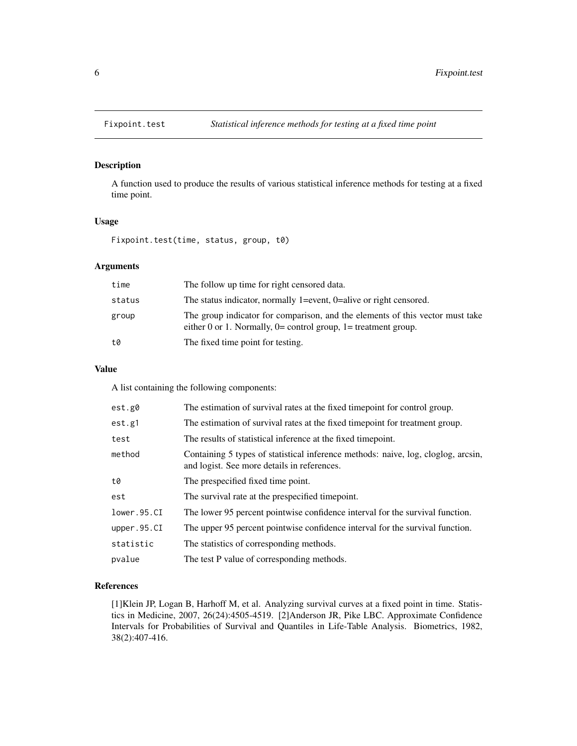<span id="page-5-0"></span>

## Description

A function used to produce the results of various statistical inference methods for testing at a fixed time point.

#### Usage

Fixpoint.test(time, status, group, t0)

## Arguments

| time   | The follow up time for right censored data.                                                                                                         |
|--------|-----------------------------------------------------------------------------------------------------------------------------------------------------|
| status | The status indicator, normally 1=event, $0$ =alive or right censored.                                                                               |
| group  | The group indicator for comparison, and the elements of this vector must take<br>either 0 or 1. Normally, $0=$ control group, $1=$ treatment group. |
| t0     | The fixed time point for testing.                                                                                                                   |

## Value

A list containing the following components:

| est.g0      | The estimation of survival rates at the fixed timepoint for control group.                                                       |
|-------------|----------------------------------------------------------------------------------------------------------------------------------|
| est.g1      | The estimation of survival rates at the fixed time point for treatment group.                                                    |
| test        | The results of statistical inference at the fixed timepoint.                                                                     |
| method      | Containing 5 types of statistical inference methods: naive, log, cloglog, arcsin,<br>and logist. See more details in references. |
| t0          | The prespecified fixed time point.                                                                                               |
| est         | The survival rate at the prespecified timepoint.                                                                                 |
| lower.95.CI | The lower 95 percent pointwise confidence interval for the survival function.                                                    |
| upper.95.CI | The upper 95 percent pointwise confidence interval for the survival function.                                                    |
| statistic   | The statistics of corresponding methods.                                                                                         |
| pvalue      | The test P value of corresponding methods.                                                                                       |

## References

[1]Klein JP, Logan B, Harhoff M, et al. Analyzing survival curves at a fixed point in time. Statistics in Medicine, 2007, 26(24):4505-4519. [2]Anderson JR, Pike LBC. Approximate Confidence Intervals for Probabilities of Survival and Quantiles in Life-Table Analysis. Biometrics, 1982, 38(2):407-416.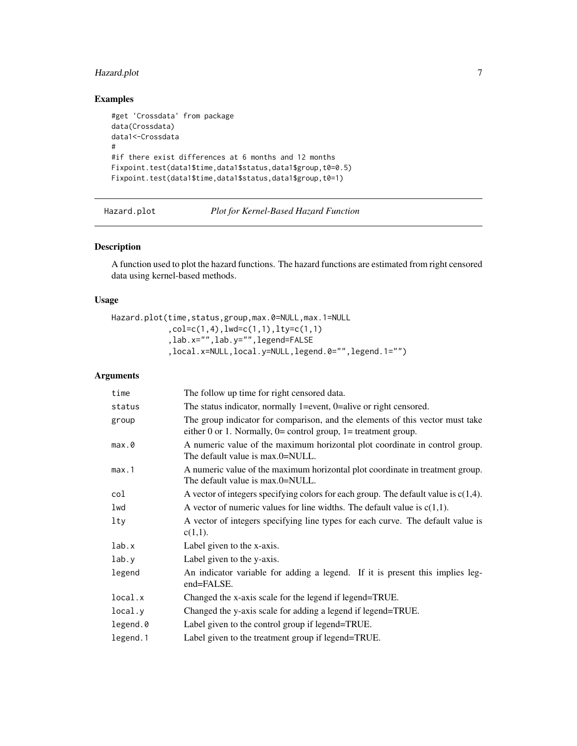## <span id="page-6-0"></span>Hazard.plot 7

## Examples

```
#get 'Crossdata' from package
data(Crossdata)
data1<-Crossdata
#
#if there exist differences at 6 months and 12 months
Fixpoint.test(data1$time,data1$status,data1$group,t0=0.5)
Fixpoint.test(data1$time,data1$status,data1$group,t0=1)
```
#### <span id="page-6-1"></span>Hazard.plot *Plot for Kernel-Based Hazard Function*

## Description

A function used to plot the hazard functions. The hazard functions are estimated from right censored data using kernel-based methods.

## Usage

```
Hazard.plot(time,status,group,max.0=NULL,max.1=NULL
            ,col=c(1,4),lwd=c(1,1),lty=c(1,1)
            ,lab.x="",lab.y="",legend=FALSE
            ,local.x=NULL,local.y=NULL,legend.0="",legend.1="")
```
## Arguments

| time     | The follow up time for right censored data.                                                                                                         |
|----------|-----------------------------------------------------------------------------------------------------------------------------------------------------|
| status   | The status indicator, normally 1=event, $0$ =alive or right censored.                                                                               |
| group    | The group indicator for comparison, and the elements of this vector must take<br>either 0 or 1. Normally, $0=$ control group, $1=$ treatment group. |
| max.0    | A numeric value of the maximum horizontal plot coordinate in control group.<br>The default value is max.0=NULL.                                     |
| max.1    | A numeric value of the maximum horizontal plot coordinate in treatment group.<br>The default value is max.0=NULL.                                   |
| col      | A vector of integers specifying colors for each group. The default value is $c(1,4)$ .                                                              |
| lwd      | A vector of numeric values for line widths. The default value is $c(1,1)$ .                                                                         |
| lty      | A vector of integers specifying line types for each curve. The default value is<br>$c(1,1)$ .                                                       |
| lab.x    | Label given to the x-axis.                                                                                                                          |
| lab.y    | Label given to the y-axis.                                                                                                                          |
| legend   | An indicator variable for adding a legend. If it is present this implies leg-<br>end=FALSE.                                                         |
| local.x  | Changed the x-axis scale for the legend if legend=TRUE.                                                                                             |
| local.y  | Changed the y-axis scale for adding a legend if legend=TRUE.                                                                                        |
| legend.0 | Label given to the control group if legend=TRUE.                                                                                                    |
| legend.1 | Label given to the treatment group if legend=TRUE.                                                                                                  |
|          |                                                                                                                                                     |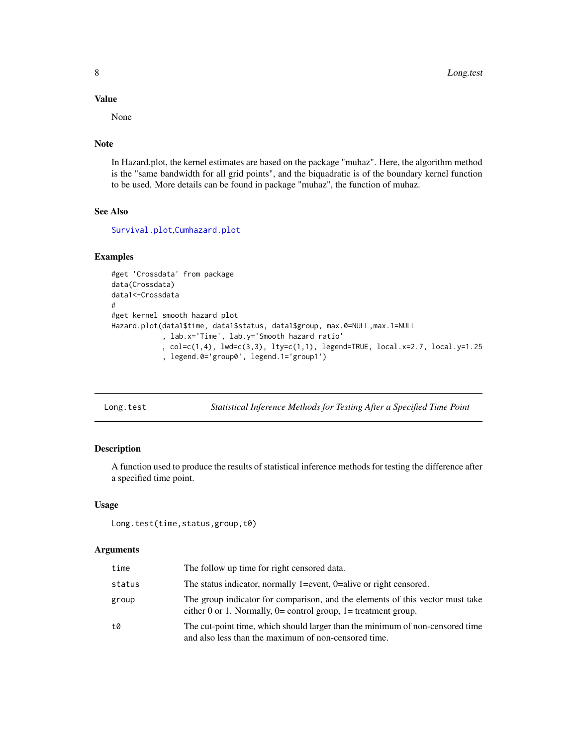#### Value

None

#### Note

In Hazard.plot, the kernel estimates are based on the package "muhaz". Here, the algorithm method is the "same bandwidth for all grid points", and the biquadratic is of the boundary kernel function to be used. More details can be found in package "muhaz", the function of muhaz.

## See Also

[Survival.plot](#page-11-1),[Cumhazard.plot](#page-2-1)

#### Examples

```
#get 'Crossdata' from package
data(Crossdata)
data1<-Crossdata
#
#get kernel smooth hazard plot
Hazard.plot(data1$time, data1$status, data1$group, max.0=NULL,max.1=NULL
            , lab.x='Time', lab.y='Smooth hazard ratio'
            , col=c(1,4), lwd=c(3,3), lty=c(1,1), legend=TRUE, local.x=2.7, local.y=1.25
            , legend.0='group0', legend.1='group1')
```
<span id="page-7-1"></span>Long.test *Statistical Inference Methods for Testing After a Specified Time Point*

## Description

A function used to produce the results of statistical inference methods for testing the difference after a specified time point.

#### Usage

```
Long.test(time,status,group,t0)
```
#### Arguments

| time   | The follow up time for right censored data.                                                                                                         |
|--------|-----------------------------------------------------------------------------------------------------------------------------------------------------|
| status | The status indicator, normally 1=event, $0$ =alive or right censored.                                                                               |
| group  | The group indicator for comparison, and the elements of this vector must take<br>either 0 or 1. Normally, $0=$ control group, $1=$ treatment group. |
| t0     | The cut-point time, which should larger than the minimum of non-censored time<br>and also less than the maximum of non-censored time.               |

<span id="page-7-0"></span>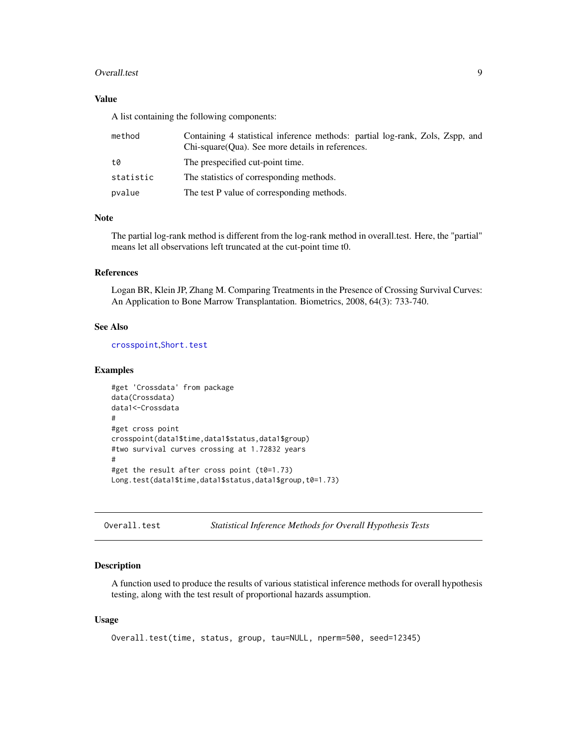#### <span id="page-8-0"></span>Overall.test 9

#### Value

A list containing the following components:

| method    | Containing 4 statistical inference methods: partial log-rank, Zols, Zspp, and<br>Chi-square (Oua). See more details in references. |
|-----------|------------------------------------------------------------------------------------------------------------------------------------|
| t0        | The prespecified cut-point time.                                                                                                   |
| statistic | The statistics of corresponding methods.                                                                                           |
| pvalue    | The test P value of corresponding methods.                                                                                         |

## Note

The partial log-rank method is different from the log-rank method in overall.test. Here, the "partial" means let all observations left truncated at the cut-point time t0.

## References

Logan BR, Klein JP, Zhang M. Comparing Treatments in the Presence of Crossing Survival Curves: An Application to Bone Marrow Transplantation. Biometrics, 2008, 64(3): 733-740.

## See Also

[crosspoint](#page-1-1),[Short.test](#page-10-1)

#### Examples

```
#get 'Crossdata' from package
data(Crossdata)
data1<-Crossdata
#
#get cross point
crosspoint(data1$time,data1$status,data1$group)
#two survival curves crossing at 1.72832 years
#
#get the result after cross point (t0=1.73)
Long.test(data1$time,data1$status,data1$group,t0=1.73)
```
Overall.test *Statistical Inference Methods for Overall Hypothesis Tests*

## Description

A function used to produce the results of various statistical inference methods for overall hypothesis testing, along with the test result of proportional hazards assumption.

#### Usage

```
Overall.test(time, status, group, tau=NULL, nperm=500, seed=12345)
```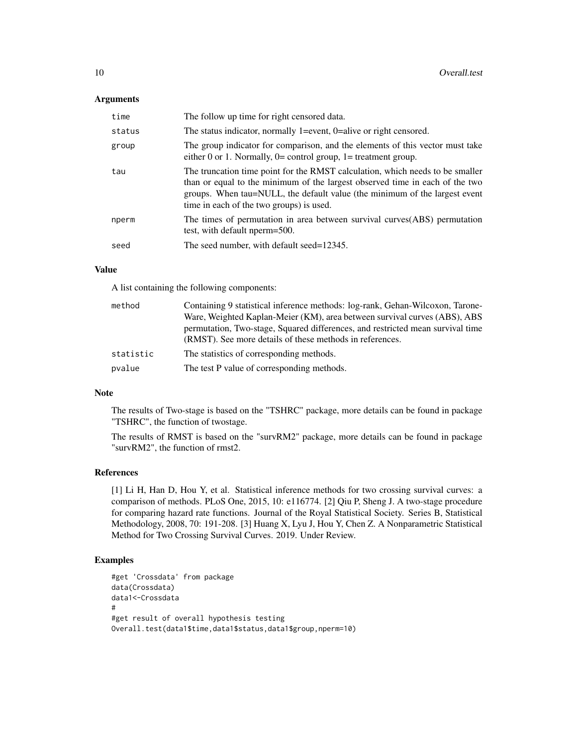#### **Arguments**

| time   | The follow up time for right censored data.                                                                                                                                                                                                                                             |
|--------|-----------------------------------------------------------------------------------------------------------------------------------------------------------------------------------------------------------------------------------------------------------------------------------------|
| status | The status indicator, normally 1=event, $0$ =alive or right censored.                                                                                                                                                                                                                   |
| group  | The group indicator for comparison, and the elements of this vector must take<br>either 0 or 1. Normally, $0=$ control group, $1=$ treatment group.                                                                                                                                     |
| tau    | The truncation time point for the RMST calculation, which needs to be smaller<br>than or equal to the minimum of the largest observed time in each of the two<br>groups. When tau=NULL, the default value (the minimum of the largest event<br>time in each of the two groups) is used. |
| nperm  | The times of permutation in area between survival curves (ABS) permutation<br>test, with default nperm=500.                                                                                                                                                                             |
| seed   | The seed number, with default seed=12345.                                                                                                                                                                                                                                               |

## Value

A list containing the following components:

| method    | Containing 9 statistical inference methods: log-rank, Gehan-Wilcoxon, Tarone-  |
|-----------|--------------------------------------------------------------------------------|
|           | Ware, Weighted Kaplan-Meier (KM), area between survival curves (ABS), ABS      |
|           | permutation, Two-stage, Squared differences, and restricted mean survival time |
|           | (RMST). See more details of these methods in references.                       |
| statistic | The statistics of corresponding methods.                                       |
| pvalue    | The test P value of corresponding methods.                                     |

## Note

The results of Two-stage is based on the "TSHRC" package, more details can be found in package "TSHRC", the function of twostage.

The results of RMST is based on the "survRM2" package, more details can be found in package "survRM2", the function of rmst2.

#### References

[1] Li H, Han D, Hou Y, et al. Statistical inference methods for two crossing survival curves: a comparison of methods. PLoS One, 2015, 10: e116774. [2] Qiu P, Sheng J. A two-stage procedure for comparing hazard rate functions. Journal of the Royal Statistical Society. Series B, Statistical Methodology, 2008, 70: 191-208. [3] Huang X, Lyu J, Hou Y, Chen Z. A Nonparametric Statistical Method for Two Crossing Survival Curves. 2019. Under Review.

```
#get 'Crossdata' from package
data(Crossdata)
data1<-Crossdata
#
#get result of overall hypothesis testing
Overall.test(data1$time,data1$status,data1$group,nperm=10)
```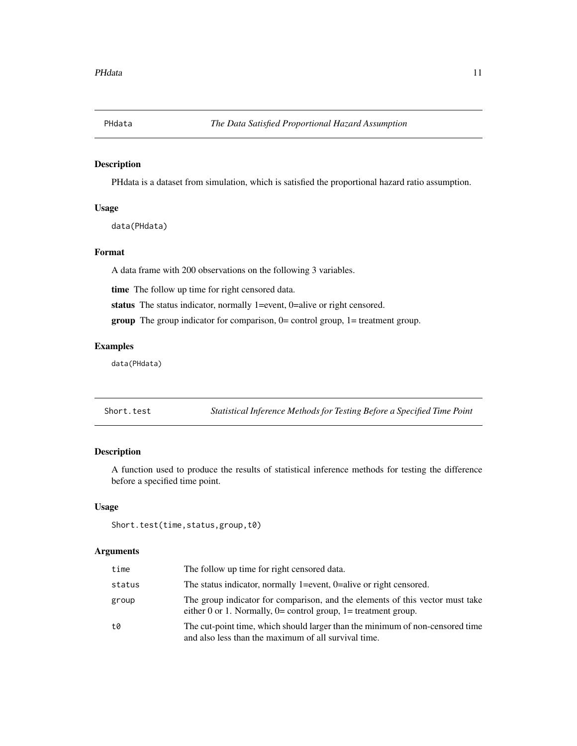<span id="page-10-0"></span>

#### Description

PHdata is a dataset from simulation, which is satisfied the proportional hazard ratio assumption.

## Usage

data(PHdata)

## Format

A data frame with 200 observations on the following 3 variables.

time The follow up time for right censored data.

status The status indicator, normally 1=event, 0=alive or right censored.

group The group indicator for comparison, 0= control group, 1= treatment group.

## Examples

data(PHdata)

<span id="page-10-1"></span>Short.test *Statistical Inference Methods for Testing Before a Specified Time Point*

## Description

A function used to produce the results of statistical inference methods for testing the difference before a specified time point.

#### Usage

```
Short.test(time,status,group,t0)
```
## Arguments

| time   | The follow up time for right censored data.                                                                                                         |
|--------|-----------------------------------------------------------------------------------------------------------------------------------------------------|
| status | The status indicator, normally 1=event, $0$ =alive or right censored.                                                                               |
| group  | The group indicator for comparison, and the elements of this vector must take<br>either 0 or 1. Normally, $0=$ control group, $1=$ treatment group. |
| t0     | The cut-point time, which should larger than the minimum of non-censored time<br>and also less than the maximum of all survival time.               |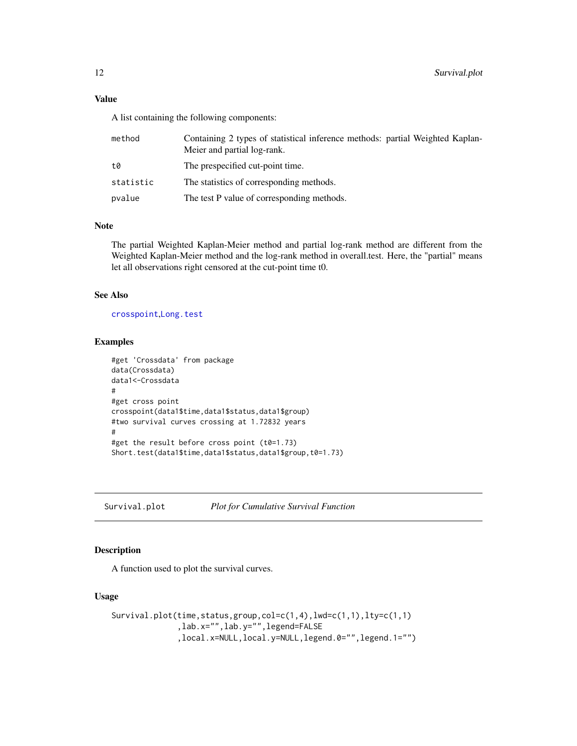<span id="page-11-0"></span>A list containing the following components:

| method    | Containing 2 types of statistical inference methods: partial Weighted Kaplan-<br>Meier and partial log-rank. |
|-----------|--------------------------------------------------------------------------------------------------------------|
| t0        | The prespecified cut-point time.                                                                             |
| statistic | The statistics of corresponding methods.                                                                     |
| pvalue    | The test P value of corresponding methods.                                                                   |

#### Note

The partial Weighted Kaplan-Meier method and partial log-rank method are different from the Weighted Kaplan-Meier method and the log-rank method in overall.test. Here, the "partial" means let all observations right censored at the cut-point time t0.

## See Also

[crosspoint](#page-1-1),[Long.test](#page-7-1)

## Examples

```
#get 'Crossdata' from package
data(Crossdata)
data1<-Crossdata
#
#get cross point
crosspoint(data1$time,data1$status,data1$group)
#two survival curves crossing at 1.72832 years
#
#get the result before cross point (t0=1.73)
Short.test(data1$time,data1$status,data1$group,t0=1.73)
```
<span id="page-11-1"></span>Survival.plot *Plot for Cumulative Survival Function*

## Description

A function used to plot the survival curves.

#### Usage

```
Survival.plot(time,status,group,col=c(1,4),lwd=c(1,1),lty=c(1,1)
              ,lab.x="",lab.y="",legend=FALSE
              ,local.x=NULL,local.y=NULL,legend.0="",legend.1="")
```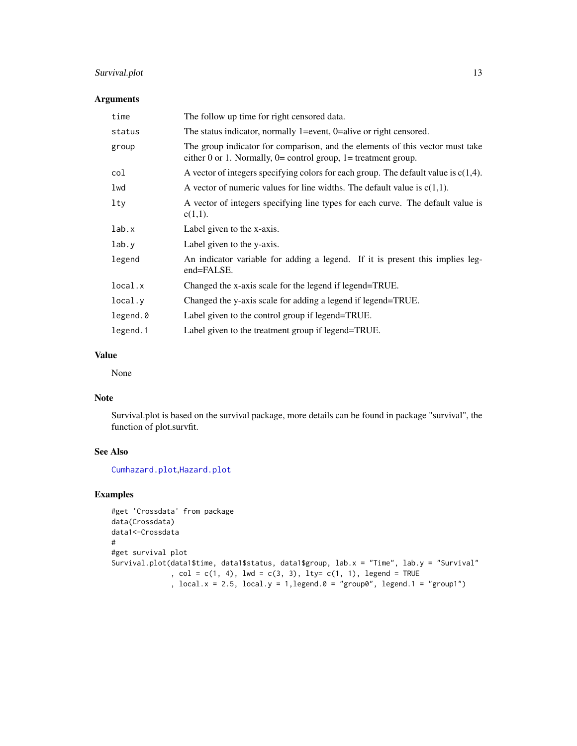## <span id="page-12-0"></span>Survival.plot 13

#### Arguments

| time     | The follow up time for right censored data.                                                                                                           |
|----------|-------------------------------------------------------------------------------------------------------------------------------------------------------|
| status   | The status indicator, normally 1=event, $0$ =alive or right censored.                                                                                 |
| group    | The group indicator for comparison, and the elements of this vector must take<br>either $0$ or 1. Normally, $0=$ control group, $1=$ treatment group. |
| col      | A vector of integers specifying colors for each group. The default value is $c(1,4)$ .                                                                |
| lwd      | A vector of numeric values for line widths. The default value is $c(1,1)$ .                                                                           |
| lty      | A vector of integers specifying line types for each curve. The default value is<br>$c(1,1)$ .                                                         |
| lab.x    | Label given to the x-axis.                                                                                                                            |
| lab.y    | Label given to the y-axis.                                                                                                                            |
| legend   | An indicator variable for adding a legend. If it is present this implies leg-<br>end=FALSE.                                                           |
| local.x  | Changed the x-axis scale for the legend if legend=TRUE.                                                                                               |
| local.y  | Changed the y-axis scale for adding a legend if legend=TRUE.                                                                                          |
| legend.0 | Label given to the control group if legend=TRUE.                                                                                                      |
| legend.1 | Label given to the treatment group if legend=TRUE.                                                                                                    |

## Value

None

## Note

Survival.plot is based on the survival package, more details can be found in package "survival", the function of plot.survfit.

## See Also

[Cumhazard.plot](#page-2-1),[Hazard.plot](#page-6-1)

```
#get 'Crossdata' from package
data(Crossdata)
data1<-Crossdata
#
#get survival plot
Survival.plot(data1$time, data1$status, data1$group, lab.x = "Time", lab.y = "Survival"
              , col = c(1, 4), lwd = c(3, 3), lty = c(1, 1), legend = TRUE, local.x = 2.5, local.y = 1, legend.0 = "group0", legend.1 = "group1")
```